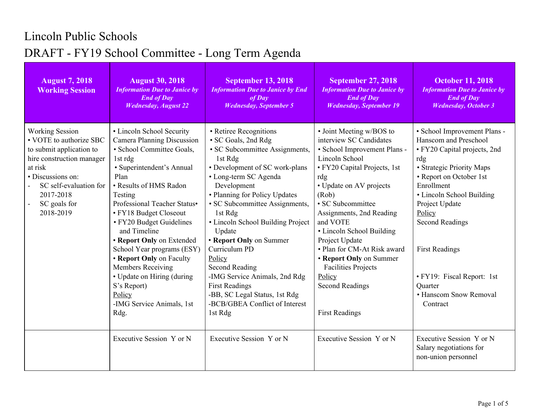## Lincoln Public Schools DRAFT - FY19 School Committee - Long Term Agenda

| <b>August 7, 2018</b><br><b>Working Session</b>                                                                                                                                                                | <b>August 30, 2018</b><br><b>Information Due to Janice by</b><br><b>End of Day</b><br><b>Wednesday, August 22</b>                                                                                                                                                                                                                                                                                                                                                                             | <b>September 13, 2018</b><br><b>Information Due to Janice by End</b><br>$of$ Day<br><b>Wednesday, September 5</b>                                                                                                                                                                                                                                                                                                                                                                                             | <b>September 27, 2018</b><br><b>Information Due to Janice by</b><br><b>End of Day</b><br><b>Wednesday, September 19</b>                                                                                                                                                                                                                                                                                                  | <b>October 11, 2018</b><br><b>Information Due to Janice by</b><br><b>End of Day</b><br><b>Wednesday</b> , October 3                                                                                                                                                                                                                                           |
|----------------------------------------------------------------------------------------------------------------------------------------------------------------------------------------------------------------|-----------------------------------------------------------------------------------------------------------------------------------------------------------------------------------------------------------------------------------------------------------------------------------------------------------------------------------------------------------------------------------------------------------------------------------------------------------------------------------------------|---------------------------------------------------------------------------------------------------------------------------------------------------------------------------------------------------------------------------------------------------------------------------------------------------------------------------------------------------------------------------------------------------------------------------------------------------------------------------------------------------------------|--------------------------------------------------------------------------------------------------------------------------------------------------------------------------------------------------------------------------------------------------------------------------------------------------------------------------------------------------------------------------------------------------------------------------|---------------------------------------------------------------------------------------------------------------------------------------------------------------------------------------------------------------------------------------------------------------------------------------------------------------------------------------------------------------|
| <b>Working Session</b><br>• VOTE to authorize SBC<br>to submit application to<br>hire construction manager<br>at risk<br>• Discussions on:<br>SC self-evaluation for<br>2017-2018<br>SC goals for<br>2018-2019 | · Lincoln School Security<br><b>Camera Planning Discussion</b><br>· School Committee Goals,<br>1st rdg<br>· Superintendent's Annual<br>Plan<br>• Results of HMS Radon<br>Testing<br>Professional Teacher Status•<br>• FY18 Budget Closeout<br>• FY20 Budget Guidelines<br>and Timeline<br>• Report Only on Extended<br>School Year programs (ESY)<br>• Report Only on Faculty<br><b>Members Receiving</b><br>• Update on Hiring (during<br>S's Report)<br>Policy<br>-IMG Service Animals, 1st | • Retiree Recognitions<br>• SC Goals, 2nd Rdg<br>• SC Subcommittee Assignments,<br>1st Rdg<br>• Development of SC work-plans<br>• Long-term SC Agenda<br>Development<br>• Planning for Policy Updates<br>• SC Subcommittee Assignments,<br>1st Rdg<br>• Lincoln School Building Project<br>Update<br>• Report Only on Summer<br>Curriculum PD<br>Policy<br><b>Second Reading</b><br>-IMG Service Animals, 2nd Rdg<br><b>First Readings</b><br>-BB, SC Legal Status, 1st Rdg<br>-BCB/GBEA Conflict of Interest | • Joint Meeting w/BOS to<br>interview SC Candidates<br>• School Improvement Plans -<br>Lincoln School<br>• FY20 Capital Projects, 1st<br>rdg<br>• Update on AV projects<br>(Rob)<br>• SC Subcommittee<br>Assignments, 2nd Reading<br>and VOTE<br>• Lincoln School Building<br>Project Update<br>• Plan for CM-At Risk award<br>• Report Only on Summer<br><b>Facilities Projects</b><br>Policy<br><b>Second Readings</b> | · School Improvement Plans -<br>Hanscom and Preschool<br>• FY20 Capital projects, 2nd<br>rdg<br>• Strategic Priority Maps<br>• Report on October 1st<br>Enrollment<br>• Lincoln School Building<br>Project Update<br>Policy<br><b>Second Readings</b><br><b>First Readings</b><br>• FY19: Fiscal Report: 1st<br>Quarter<br>• Hanscom Snow Removal<br>Contract |
|                                                                                                                                                                                                                | Rdg.<br>Executive Session Y or N                                                                                                                                                                                                                                                                                                                                                                                                                                                              | 1st Rdg<br>Executive Session Y or N                                                                                                                                                                                                                                                                                                                                                                                                                                                                           | <b>First Readings</b><br>Executive Session Y or N                                                                                                                                                                                                                                                                                                                                                                        | Executive Session Y or N<br>Salary negotiations for<br>non-union personnel                                                                                                                                                                                                                                                                                    |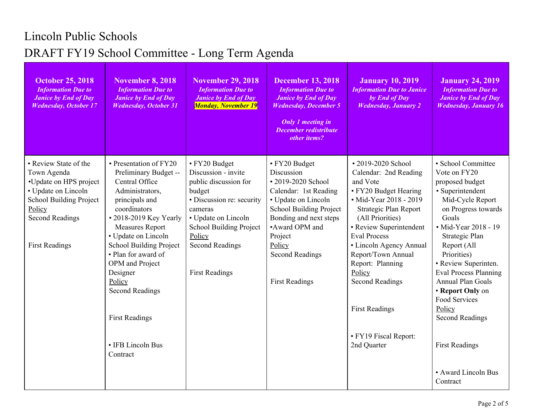## Lincoln Public Schools DRAFT FY19 School Committee - Long Term Agenda

| <b>October 25, 2018</b><br><b>Information Due to</b><br><b>Janice by End of Day</b><br><b>Wednesday, October 17</b>                                                                  | <b>November 8, 2018</b><br><b>Information Due to</b><br><b>Janice by End of Day</b><br><b>Wednesday, October 31</b>                                                                                                                                                                                                                                                                     | <b>November 29, 2018</b><br><b>Information Due to</b><br><b>Janice by End of Day</b><br><b>Monday, November 19</b>                                                                                                                    | <b>December 13, 2018</b><br><b>Information Due to</b><br><b>Janice by End of Day</b><br><b>Wednesday, December 5</b><br><b>Only 1 meeting in</b><br>December redistribute<br>other items?                                                               | <b>January 10, 2019</b><br><b>Information Due to Janice</b><br>by End of Day<br><b>Wednesday</b> , January 2                                                                                                                                                                                                                                                                        | <b>January 24, 2019</b><br><b>Information Due to</b><br><b>Janice by End of Day</b><br><b>Wednesday, January 16</b>                                                                                                                                                                                                                                                                                                            |
|--------------------------------------------------------------------------------------------------------------------------------------------------------------------------------------|-----------------------------------------------------------------------------------------------------------------------------------------------------------------------------------------------------------------------------------------------------------------------------------------------------------------------------------------------------------------------------------------|---------------------------------------------------------------------------------------------------------------------------------------------------------------------------------------------------------------------------------------|---------------------------------------------------------------------------------------------------------------------------------------------------------------------------------------------------------------------------------------------------------|-------------------------------------------------------------------------------------------------------------------------------------------------------------------------------------------------------------------------------------------------------------------------------------------------------------------------------------------------------------------------------------|--------------------------------------------------------------------------------------------------------------------------------------------------------------------------------------------------------------------------------------------------------------------------------------------------------------------------------------------------------------------------------------------------------------------------------|
| • Review State of the<br>Town Agenda<br>•Update on HPS project<br>• Update on Lincoln<br><b>School Building Project</b><br>Policy<br><b>Second Readings</b><br><b>First Readings</b> | • Presentation of FY20<br>Preliminary Budget --<br>Central Office<br>Administrators,<br>principals and<br>coordinators<br>• 2018-2019 Key Yearly<br><b>Measures Report</b><br>• Update on Lincoln<br><b>School Building Project</b><br>• Plan for award of<br>OPM and Project<br>Designer<br>Policy<br><b>Second Readings</b><br><b>First Readings</b><br>• IFB Lincoln Bus<br>Contract | • FY20 Budget<br>Discussion - invite<br>public discussion for<br>budget<br>· Discussion re: security<br>cameras<br>• Update on Lincoln<br><b>School Building Project</b><br>Policy<br><b>Second Readings</b><br><b>First Readings</b> | • FY20 Budget<br>Discussion<br>• 2019-2020 School<br>Calendar: 1st Reading<br>• Update on Lincoln<br><b>School Building Project</b><br>Bonding and next steps<br>•Award OPM and<br>Project<br>Policy<br><b>Second Readings</b><br><b>First Readings</b> | • 2019-2020 School<br>Calendar: 2nd Reading<br>and Vote<br>• FY20 Budget Hearing<br>• Mid-Year 2018 - 2019<br>Strategic Plan Report<br>(All Priorities)<br>• Review Superintendent<br><b>Eval Process</b><br>• Lincoln Agency Annual<br>Report/Town Annual<br>Report: Planning<br>Policy<br><b>Second Readings</b><br><b>First Readings</b><br>• FY19 Fiscal Report:<br>2nd Quarter | • School Committee<br>Vote on FY20<br>proposed budget<br>· Superintendent<br>Mid-Cycle Report<br>on Progress towards<br>Goals<br>• Mid-Year 2018 - 19<br>Strategic Plan<br>Report (All<br>Priorities)<br>• Review Superinten.<br><b>Eval Process Planning</b><br><b>Annual Plan Goals</b><br>• Report Only on<br>Food Services<br>Policy<br><b>Second Readings</b><br><b>First Readings</b><br>• Award Lincoln Bus<br>Contract |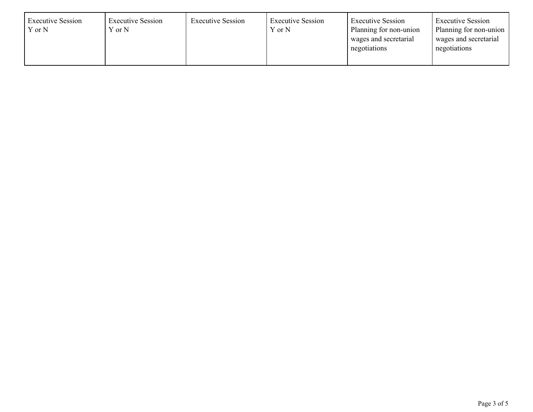| <b>Executive Session</b><br>Y or N | <b>Executive Session</b><br>Y or N | <b>Executive Session</b> | <b>Executive Session</b><br>Y or N | <b>Executive Session</b><br>Planning for non-union<br>wages and secretarial<br>negotiations | <b>Executive Session</b><br>Planning for non-union<br>wages and secretarial<br>negotiations |
|------------------------------------|------------------------------------|--------------------------|------------------------------------|---------------------------------------------------------------------------------------------|---------------------------------------------------------------------------------------------|
|------------------------------------|------------------------------------|--------------------------|------------------------------------|---------------------------------------------------------------------------------------------|---------------------------------------------------------------------------------------------|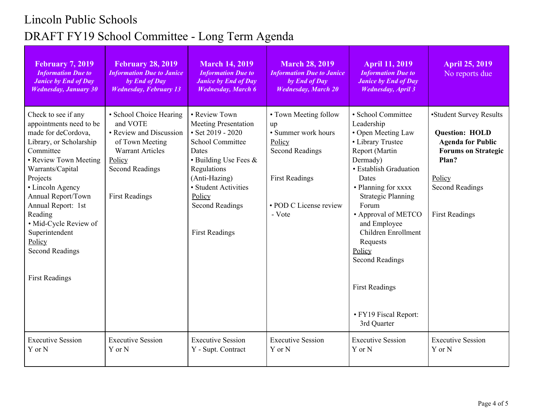## Lincoln Public Schools DRAFT FY19 School Committee - Long Term Agenda

| <b>February 7, 2019</b><br><b>Information Due to</b><br><b>Janice by End of Day</b><br><b>Wednesday, January 30</b>                                                                                                                                                                                                                                       | <b>February 28, 2019</b><br><b>Information Due to Janice</b><br>by End of Day<br><b>Wednesday, February 13</b>                                                            | <b>March 14, 2019</b><br><b>Information Due to</b><br><b>Janice by End of Day</b><br><b>Wednesday</b> , March 6                                                                                                                                           | <b>March 28, 2019</b><br><b>Information Due to Janice</b><br>by End of Day<br><b>Wednesday, March 20</b>                                            | <b>April 11, 2019</b><br><b>Information Due to</b><br><b>Janice by End of Day</b><br><b>Wednesday</b> , April 3                                                                                                                                                                                                                                                                          | <b>April 25, 2019</b><br>No reports due                                                                                                                                          |
|-----------------------------------------------------------------------------------------------------------------------------------------------------------------------------------------------------------------------------------------------------------------------------------------------------------------------------------------------------------|---------------------------------------------------------------------------------------------------------------------------------------------------------------------------|-----------------------------------------------------------------------------------------------------------------------------------------------------------------------------------------------------------------------------------------------------------|-----------------------------------------------------------------------------------------------------------------------------------------------------|------------------------------------------------------------------------------------------------------------------------------------------------------------------------------------------------------------------------------------------------------------------------------------------------------------------------------------------------------------------------------------------|----------------------------------------------------------------------------------------------------------------------------------------------------------------------------------|
| Check to see if any<br>appointments need to be<br>made for deCordova,<br>Library, or Scholarship<br>Committee<br>• Review Town Meeting<br>Warrants/Capital<br>Projects<br>• Lincoln Agency<br>Annual Report/Town<br>Annual Report: 1st<br>Reading<br>• Mid-Cycle Review of<br>Superintendent<br>Policy<br><b>Second Readings</b><br><b>First Readings</b> | • School Choice Hearing<br>and VOTE<br>• Review and Discussion<br>of Town Meeting<br><b>Warrant Articles</b><br>Policy<br><b>Second Readings</b><br><b>First Readings</b> | • Review Town<br><b>Meeting Presentation</b><br>$\cdot$ Set 2019 - 2020<br><b>School Committee</b><br>Dates<br>• Building Use Fees &<br>Regulations<br>(Anti-Hazing)<br>• Student Activities<br>Policy<br><b>Second Readings</b><br><b>First Readings</b> | • Town Meeting follow<br>up<br>• Summer work hours<br>Policy<br><b>Second Readings</b><br><b>First Readings</b><br>• POD C License review<br>- Vote | · School Committee<br>Leadership<br>• Open Meeting Law<br>• Library Trustee<br>Report (Martin<br>Dermady)<br>• Establish Graduation<br>Dates<br>• Planning for xxxx<br><b>Strategic Planning</b><br>Forum<br>• Approval of METCO<br>and Employee<br>Children Enrollment<br>Requests<br>Policy<br><b>Second Readings</b><br><b>First Readings</b><br>• FY19 Fiscal Report:<br>3rd Quarter | •Student Survey Results<br><b>Question: HOLD</b><br><b>Agenda for Public</b><br><b>Forums on Strategic</b><br>Plan?<br>Policy<br><b>Second Readings</b><br><b>First Readings</b> |
| <b>Executive Session</b><br>Y or N                                                                                                                                                                                                                                                                                                                        | <b>Executive Session</b><br>Y or N                                                                                                                                        | <b>Executive Session</b><br>Y - Supt. Contract                                                                                                                                                                                                            | <b>Executive Session</b><br>Y or N                                                                                                                  | <b>Executive Session</b><br>Y or N                                                                                                                                                                                                                                                                                                                                                       | <b>Executive Session</b><br>Y or N                                                                                                                                               |